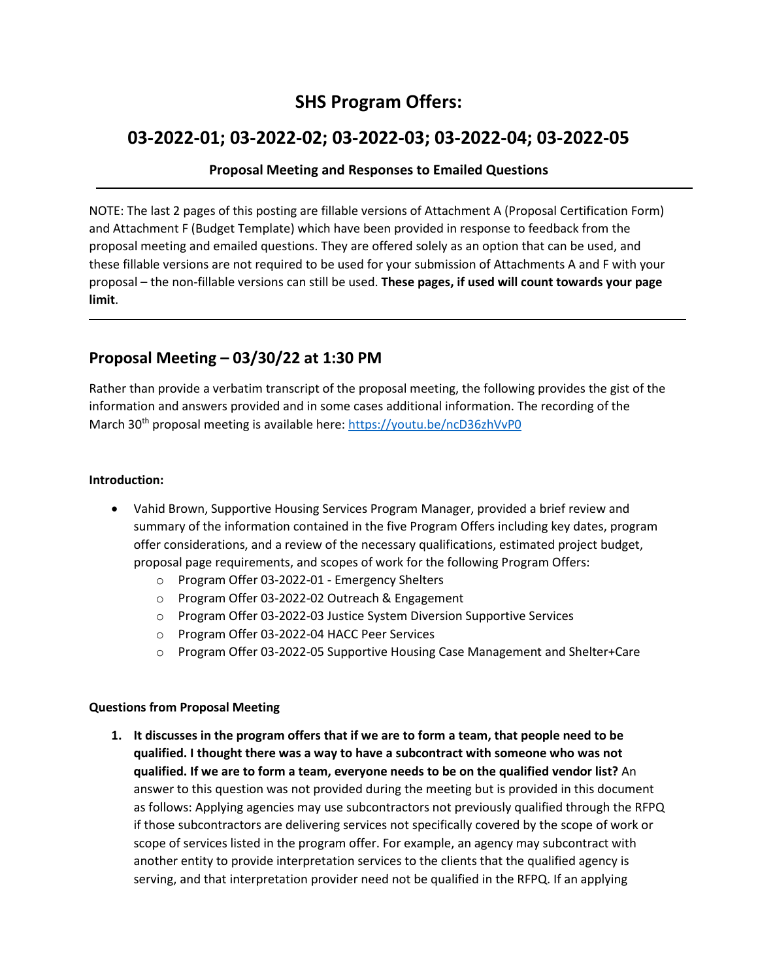# **SHS Program Offers:**

# **03-2022-01; 03-2022-02; 03-2022-03; 03-2022-04; 03-2022-05**

### **Proposal Meeting and Responses to Emailed Questions**

NOTE: The last 2 pages of this posting are fillable versions of Attachment A (Proposal Certification Form) and Attachment F (Budget Template) which have been provided in response to feedback from the proposal meeting and emailed questions. They are offered solely as an option that can be used, and these fillable versions are not required to be used for your submission of Attachments A and F with your proposal – the non-fillable versions can still be used. **These pages, if used will count towards your page limit**.

# **Proposal Meeting – 03/30/22 at 1:30 PM**

Rather than provide a verbatim transcript of the proposal meeting, the following provides the gist of the information and answers provided and in some cases additional information. The recording of the March 30<sup>th</sup> proposal meeting is available here: <https://youtu.be/ncD36zhVvP0>

#### **Introduction:**

- Vahid Brown, Supportive Housing Services Program Manager, provided a brief review and summary of the information contained in the five Program Offers including key dates, program offer considerations, and a review of the necessary qualifications, estimated project budget, proposal page requirements, and scopes of work for the following Program Offers:
	- o Program Offer 03-2022-01 Emergency Shelters
	- o Program Offer 03-2022-02 Outreach & Engagement
	- o Program Offer 03-2022-03 Justice System Diversion Supportive Services
	- o Program Offer 03-2022-04 HACC Peer Services
	- o Program Offer 03-2022-05 Supportive Housing Case Management and Shelter+Care

#### **Questions from Proposal Meeting**

**1. It discusses in the program offers that if we are to form a team, that people need to be qualified. I thought there was a way to have a subcontract with someone who was not qualified. If we are to form a team, everyone needs to be on the qualified vendor list?** An answer to this question was not provided during the meeting but is provided in this document as follows: Applying agencies may use subcontractors not previously qualified through the RFPQ if those subcontractors are delivering services not specifically covered by the scope of work or scope of services listed in the program offer. For example, an agency may subcontract with another entity to provide interpretation services to the clients that the qualified agency is serving, and that interpretation provider need not be qualified in the RFPQ. If an applying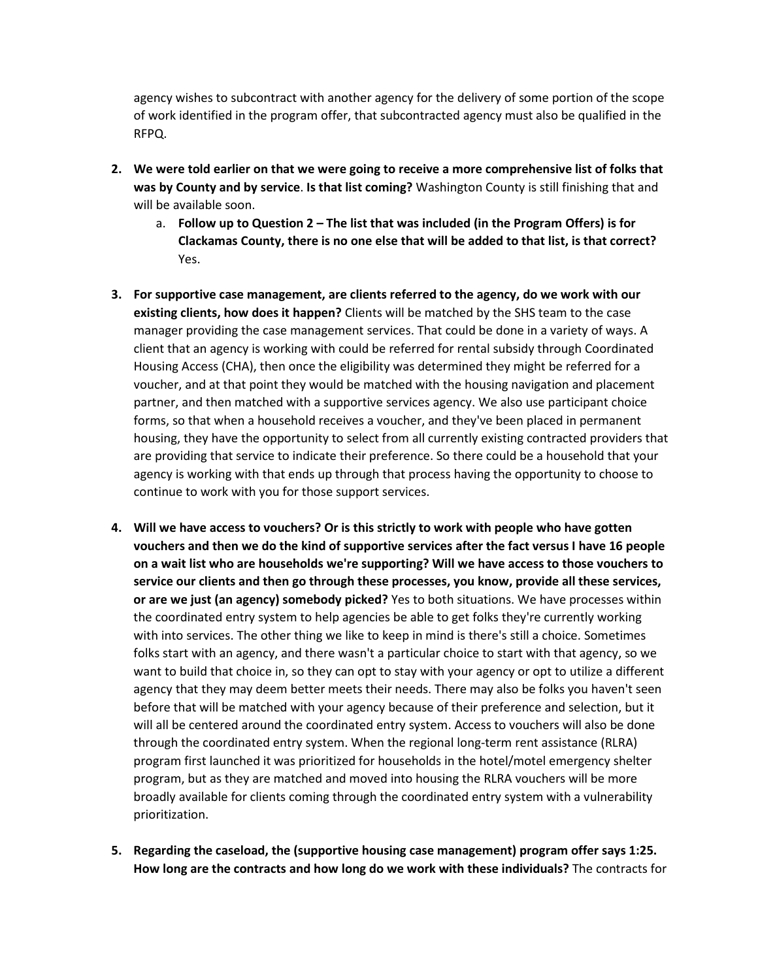agency wishes to subcontract with another agency for the delivery of some portion of the scope of work identified in the program offer, that subcontracted agency must also be qualified in the RFPQ.

- **2. We were told earlier on that we were going to receive a more comprehensive list of folks that was by County and by service**. **Is that list coming?** Washington County is still finishing that and will be available soon.
	- a. **Follow up to Question 2 – The list that was included (in the Program Offers) is for Clackamas County, there is no one else that will be added to that list, is that correct?** Yes.
- **3. For supportive case management, are clients referred to the agency, do we work with our existing clients, how does it happen?** Clients will be matched by the SHS team to the case manager providing the case management services. That could be done in a variety of ways. A client that an agency is working with could be referred for rental subsidy through Coordinated Housing Access (CHA), then once the eligibility was determined they might be referred for a voucher, and at that point they would be matched with the housing navigation and placement partner, and then matched with a supportive services agency. We also use participant choice forms, so that when a household receives a voucher, and they've been placed in permanent housing, they have the opportunity to select from all currently existing contracted providers that are providing that service to indicate their preference. So there could be a household that your agency is working with that ends up through that process having the opportunity to choose to continue to work with you for those support services.
- **4. Will we have access to vouchers? Or is this strictly to work with people who have gotten vouchers and then we do the kind of supportive services after the fact versus I have 16 people on a wait list who are households we're supporting? Will we have access to those vouchers to service our clients and then go through these processes, you know, provide all these services, or are we just (an agency) somebody picked?** Yes to both situations. We have processes within the coordinated entry system to help agencies be able to get folks they're currently working with into services. The other thing we like to keep in mind is there's still a choice. Sometimes folks start with an agency, and there wasn't a particular choice to start with that agency, so we want to build that choice in, so they can opt to stay with your agency or opt to utilize a different agency that they may deem better meets their needs. There may also be folks you haven't seen before that will be matched with your agency because of their preference and selection, but it will all be centered around the coordinated entry system. Access to vouchers will also be done through the coordinated entry system. When the regional long-term rent assistance (RLRA) program first launched it was prioritized for households in the hotel/motel emergency shelter program, but as they are matched and moved into housing the RLRA vouchers will be more broadly available for clients coming through the coordinated entry system with a vulnerability prioritization.
- **5. Regarding the caseload, the (supportive housing case management) program offer says 1:25. How long are the contracts and how long do we work with these individuals?** The contracts for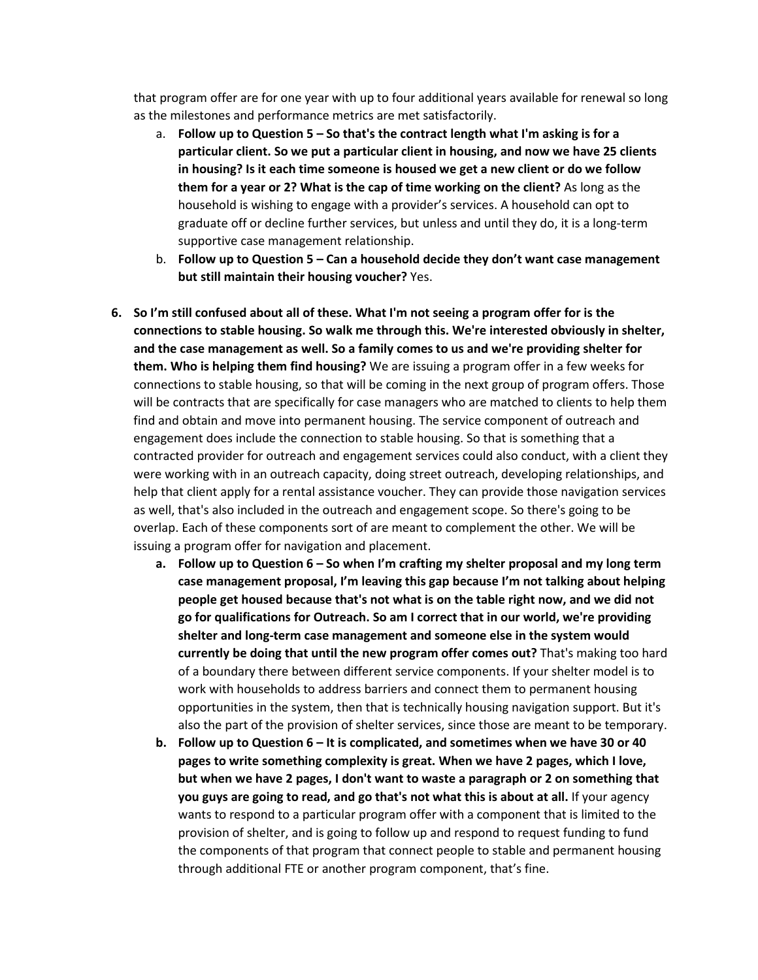that program offer are for one year with up to four additional years available for renewal so long as the milestones and performance metrics are met satisfactorily.

- a. **Follow up to Question 5 – So that's the contract length what I'm asking is for a particular client. So we put a particular client in housing, and now we have 25 clients in housing? Is it each time someone is housed we get a new client or do we follow them for a year or 2? What is the cap of time working on the client?** As long as the household is wishing to engage with a provider's services. A household can opt to graduate off or decline further services, but unless and until they do, it is a long-term supportive case management relationship.
- b. **Follow up to Question 5 – Can a household decide they don't want case management but still maintain their housing voucher?** Yes.
- **6. So I'm still confused about all of these. What I'm not seeing a program offer for is the connections to stable housing. So walk me through this. We're interested obviously in shelter, and the case management as well. So a family comes to us and we're providing shelter for them. Who is helping them find housing?** We are issuing a program offer in a few weeks for connections to stable housing, so that will be coming in the next group of program offers. Those will be contracts that are specifically for case managers who are matched to clients to help them find and obtain and move into permanent housing. The service component of outreach and engagement does include the connection to stable housing. So that is something that a contracted provider for outreach and engagement services could also conduct, with a client they were working with in an outreach capacity, doing street outreach, developing relationships, and help that client apply for a rental assistance voucher. They can provide those navigation services as well, that's also included in the outreach and engagement scope. So there's going to be overlap. Each of these components sort of are meant to complement the other. We will be issuing a program offer for navigation and placement.
	- **a. Follow up to Question 6 – So when I'm crafting my shelter proposal and my long term case management proposal, I'm leaving this gap because I'm not talking about helping people get housed because that's not what is on the table right now, and we did not go for qualifications for Outreach. So am I correct that in our world, we're providing shelter and long-term case management and someone else in the system would currently be doing that until the new program offer comes out?** That's making too hard of a boundary there between different service components. If your shelter model is to work with households to address barriers and connect them to permanent housing opportunities in the system, then that is technically housing navigation support. But it's also the part of the provision of shelter services, since those are meant to be temporary.
	- **b. Follow up to Question 6 – It is complicated, and sometimes when we have 30 or 40 pages to write something complexity is great. When we have 2 pages, which I love, but when we have 2 pages, I don't want to waste a paragraph or 2 on something that you guys are going to read, and go that's not what this is about at all.** If your agency wants to respond to a particular program offer with a component that is limited to the provision of shelter, and is going to follow up and respond to request funding to fund the components of that program that connect people to stable and permanent housing through additional FTE or another program component, that's fine.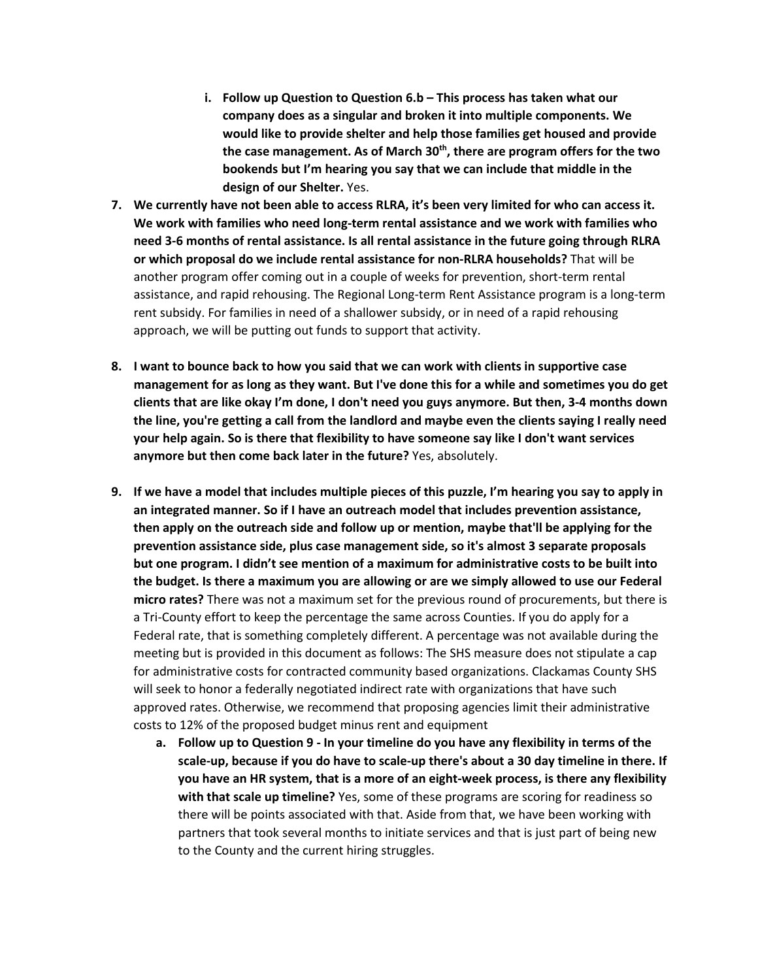- **i. Follow up Question to Question 6.b – This process has taken what our company does as a singular and broken it into multiple components. We would like to provide shelter and help those families get housed and provide the case management. As of March 30th, there are program offers for the two bookends but I'm hearing you say that we can include that middle in the design of our Shelter.** Yes.
- **7. We currently have not been able to access RLRA, it's been very limited for who can access it. We work with families who need long-term rental assistance and we work with families who need 3-6 months of rental assistance. Is all rental assistance in the future going through RLRA or which proposal do we include rental assistance for non-RLRA households?** That will be another program offer coming out in a couple of weeks for prevention, short-term rental assistance, and rapid rehousing. The Regional Long-term Rent Assistance program is a long-term rent subsidy. For families in need of a shallower subsidy, or in need of a rapid rehousing approach, we will be putting out funds to support that activity.
- **8. I want to bounce back to how you said that we can work with clients in supportive case management for as long as they want. But I've done this for a while and sometimes you do get clients that are like okay I'm done, I don't need you guys anymore. But then, 3-4 months down the line, you're getting a call from the landlord and maybe even the clients saying I really need your help again. So is there that flexibility to have someone say like I don't want services anymore but then come back later in the future?** Yes, absolutely.
- **9. If we have a model that includes multiple pieces of this puzzle, I'm hearing you say to apply in an integrated manner. So if I have an outreach model that includes prevention assistance, then apply on the outreach side and follow up or mention, maybe that'll be applying for the prevention assistance side, plus case management side, so it's almost 3 separate proposals but one program. I didn't see mention of a maximum for administrative costs to be built into the budget. Is there a maximum you are allowing or are we simply allowed to use our Federal micro rates?** There was not a maximum set for the previous round of procurements, but there is a Tri-County effort to keep the percentage the same across Counties. If you do apply for a Federal rate, that is something completely different. A percentage was not available during the meeting but is provided in this document as follows: The SHS measure does not stipulate a cap for administrative costs for contracted community based organizations. Clackamas County SHS will seek to honor a federally negotiated indirect rate with organizations that have such approved rates. Otherwise, we recommend that proposing agencies limit their administrative costs to 12% of the proposed budget minus rent and equipment
	- **a. Follow up to Question 9 - In your timeline do you have any flexibility in terms of the scale-up, because if you do have to scale-up there's about a 30 day timeline in there. If you have an HR system, that is a more of an eight-week process, is there any flexibility with that scale up timeline?** Yes, some of these programs are scoring for readiness so there will be points associated with that. Aside from that, we have been working with partners that took several months to initiate services and that is just part of being new to the County and the current hiring struggles.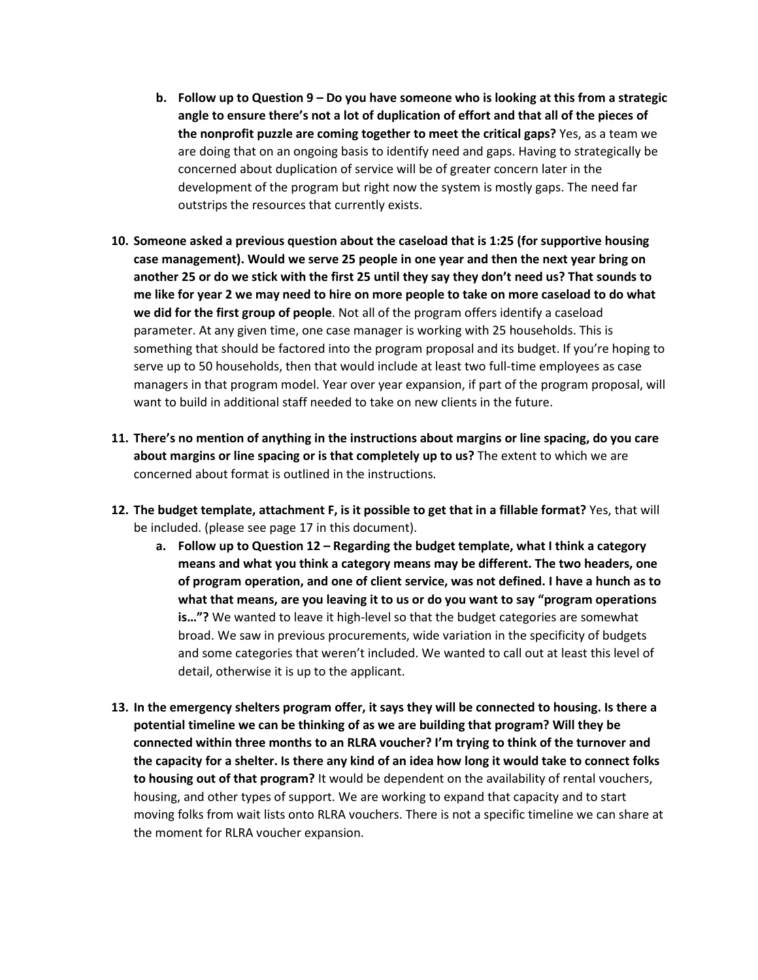- **b. Follow up to Question 9 – Do you have someone who is looking at this from a strategic angle to ensure there's not a lot of duplication of effort and that all of the pieces of the nonprofit puzzle are coming together to meet the critical gaps?** Yes, as a team we are doing that on an ongoing basis to identify need and gaps. Having to strategically be concerned about duplication of service will be of greater concern later in the development of the program but right now the system is mostly gaps. The need far outstrips the resources that currently exists.
- **10. Someone asked a previous question about the caseload that is 1:25 (for supportive housing case management). Would we serve 25 people in one year and then the next year bring on another 25 or do we stick with the first 25 until they say they don't need us? That sounds to me like for year 2 we may need to hire on more people to take on more caseload to do what we did for the first group of people**. Not all of the program offers identify a caseload parameter. At any given time, one case manager is working with 25 households. This is something that should be factored into the program proposal and its budget. If you're hoping to serve up to 50 households, then that would include at least two full-time employees as case managers in that program model. Year over year expansion, if part of the program proposal, will want to build in additional staff needed to take on new clients in the future.
- **11. There's no mention of anything in the instructions about margins or line spacing, do you care about margins or line spacing or is that completely up to us?** The extent to which we are concerned about format is outlined in the instructions.
- **12. The budget template, attachment F, is it possible to get that in a fillable format?** Yes, that will be included. (please see page 17 in this document).
	- **a. Follow up to Question 12 – Regarding the budget template, what I think a category means and what you think a category means may be different. The two headers, one of program operation, and one of client service, was not defined. I have a hunch as to what that means, are you leaving it to us or do you want to say "program operations is…"?** We wanted to leave it high-level so that the budget categories are somewhat broad. We saw in previous procurements, wide variation in the specificity of budgets and some categories that weren't included. We wanted to call out at least this level of detail, otherwise it is up to the applicant.
- **13. In the emergency shelters program offer, it says they will be connected to housing. Is there a potential timeline we can be thinking of as we are building that program? Will they be connected within three months to an RLRA voucher? I'm trying to think of the turnover and the capacity for a shelter. Is there any kind of an idea how long it would take to connect folks to housing out of that program?** It would be dependent on the availability of rental vouchers, housing, and other types of support. We are working to expand that capacity and to start moving folks from wait lists onto RLRA vouchers. There is not a specific timeline we can share at the moment for RLRA voucher expansion.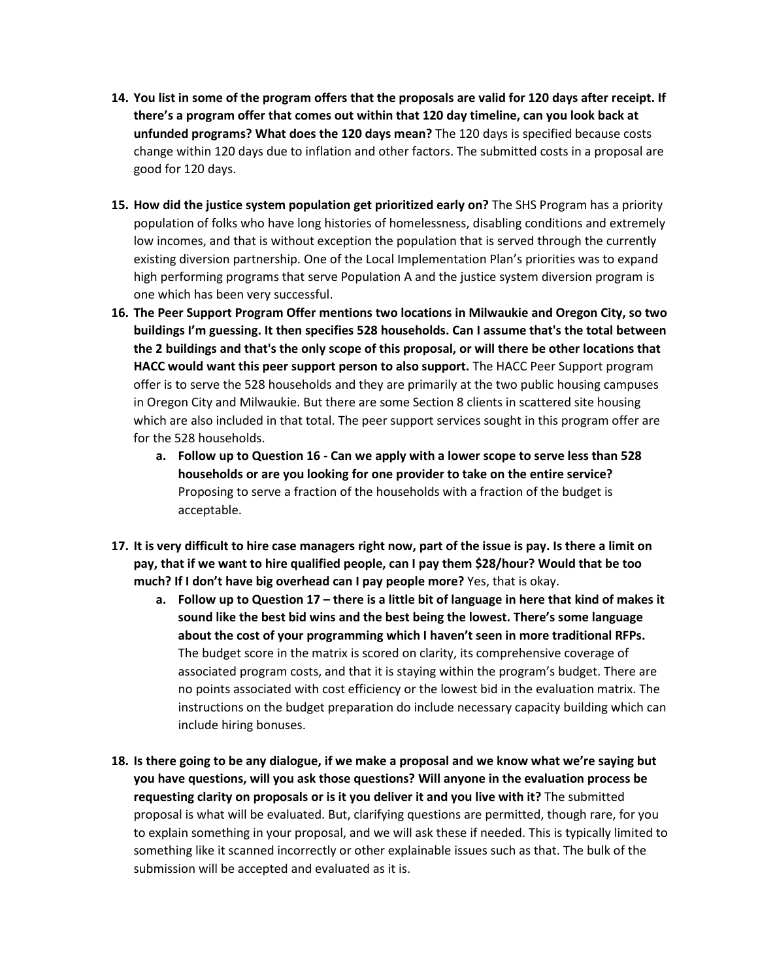- **14. You list in some of the program offers that the proposals are valid for 120 days after receipt. If there's a program offer that comes out within that 120 day timeline, can you look back at unfunded programs? What does the 120 days mean?** The 120 days is specified because costs change within 120 days due to inflation and other factors. The submitted costs in a proposal are good for 120 days.
- **15. How did the justice system population get prioritized early on?** The SHS Program has a priority population of folks who have long histories of homelessness, disabling conditions and extremely low incomes, and that is without exception the population that is served through the currently existing diversion partnership. One of the Local Implementation Plan's priorities was to expand high performing programs that serve Population A and the justice system diversion program is one which has been very successful.
- **16. The Peer Support Program Offer mentions two locations in Milwaukie and Oregon City, so two buildings I'm guessing. It then specifies 528 households. Can I assume that's the total between the 2 buildings and that's the only scope of this proposal, or will there be other locations that HACC would want this peer support person to also support.** The HACC Peer Support program offer is to serve the 528 households and they are primarily at the two public housing campuses in Oregon City and Milwaukie. But there are some Section 8 clients in scattered site housing which are also included in that total. The peer support services sought in this program offer are for the 528 households.
	- **a. Follow up to Question 16 - Can we apply with a lower scope to serve less than 528 households or are you looking for one provider to take on the entire service?** Proposing to serve a fraction of the households with a fraction of the budget is acceptable.
- **17. It is very difficult to hire case managers right now, part of the issue is pay. Is there a limit on pay, that if we want to hire qualified people, can I pay them \$28/hour? Would that be too much? If I don't have big overhead can I pay people more?** Yes, that is okay.
	- **a. Follow up to Question 17 – there is a little bit of language in here that kind of makes it sound like the best bid wins and the best being the lowest. There's some language about the cost of your programming which I haven't seen in more traditional RFPs.** The budget score in the matrix is scored on clarity, its comprehensive coverage of associated program costs, and that it is staying within the program's budget. There are no points associated with cost efficiency or the lowest bid in the evaluation matrix. The instructions on the budget preparation do include necessary capacity building which can include hiring bonuses.
- **18. Is there going to be any dialogue, if we make a proposal and we know what we're saying but you have questions, will you ask those questions? Will anyone in the evaluation process be requesting clarity on proposals or is it you deliver it and you live with it?** The submitted proposal is what will be evaluated. But, clarifying questions are permitted, though rare, for you to explain something in your proposal, and we will ask these if needed. This is typically limited to something like it scanned incorrectly or other explainable issues such as that. The bulk of the submission will be accepted and evaluated as it is.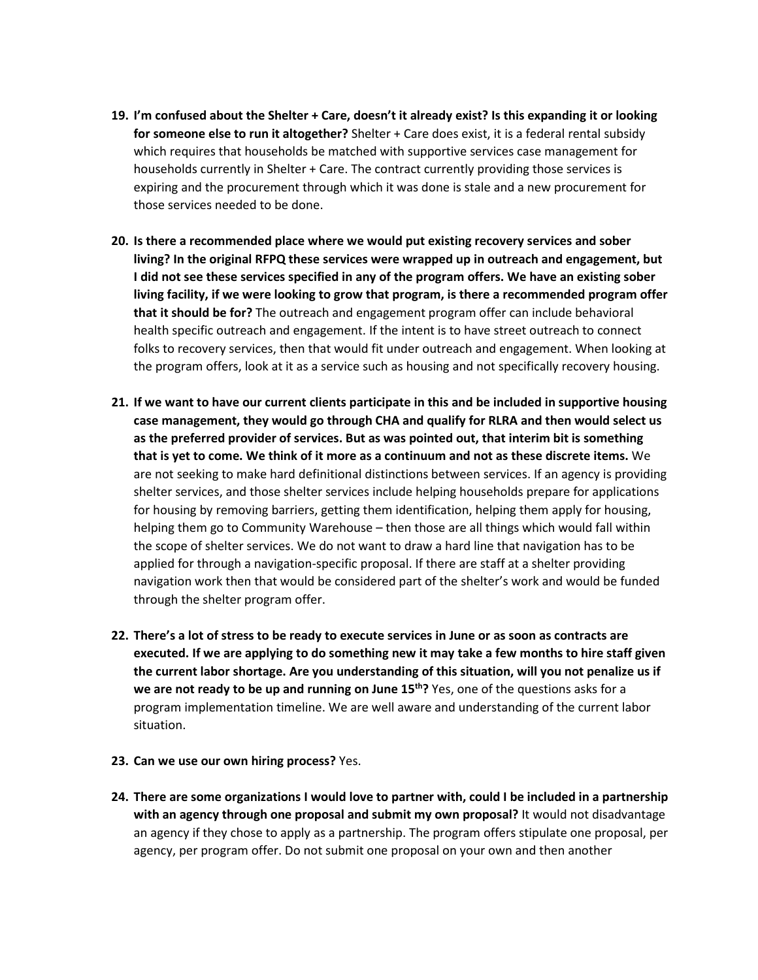- **19. I'm confused about the Shelter + Care, doesn't it already exist? Is this expanding it or looking for someone else to run it altogether?** Shelter + Care does exist, it is a federal rental subsidy which requires that households be matched with supportive services case management for households currently in Shelter + Care. The contract currently providing those services is expiring and the procurement through which it was done is stale and a new procurement for those services needed to be done.
- **20. Is there a recommended place where we would put existing recovery services and sober living? In the original RFPQ these services were wrapped up in outreach and engagement, but I did not see these services specified in any of the program offers. We have an existing sober living facility, if we were looking to grow that program, is there a recommended program offer that it should be for?** The outreach and engagement program offer can include behavioral health specific outreach and engagement. If the intent is to have street outreach to connect folks to recovery services, then that would fit under outreach and engagement. When looking at the program offers, look at it as a service such as housing and not specifically recovery housing.
- **21. If we want to have our current clients participate in this and be included in supportive housing case management, they would go through CHA and qualify for RLRA and then would select us as the preferred provider of services. But as was pointed out, that interim bit is something that is yet to come. We think of it more as a continuum and not as these discrete items.** We are not seeking to make hard definitional distinctions between services. If an agency is providing shelter services, and those shelter services include helping households prepare for applications for housing by removing barriers, getting them identification, helping them apply for housing, helping them go to Community Warehouse – then those are all things which would fall within the scope of shelter services. We do not want to draw a hard line that navigation has to be applied for through a navigation-specific proposal. If there are staff at a shelter providing navigation work then that would be considered part of the shelter's work and would be funded through the shelter program offer.
- **22. There's a lot of stress to be ready to execute services in June or as soon as contracts are executed. If we are applying to do something new it may take a few months to hire staff given the current labor shortage. Are you understanding of this situation, will you not penalize us if we are not ready to be up and running on June 15th?** Yes, one of the questions asks for a program implementation timeline. We are well aware and understanding of the current labor situation.
- **23. Can we use our own hiring process?** Yes.
- **24. There are some organizations I would love to partner with, could I be included in a partnership with an agency through one proposal and submit my own proposal?** It would not disadvantage an agency if they chose to apply as a partnership. The program offers stipulate one proposal, per agency, per program offer. Do not submit one proposal on your own and then another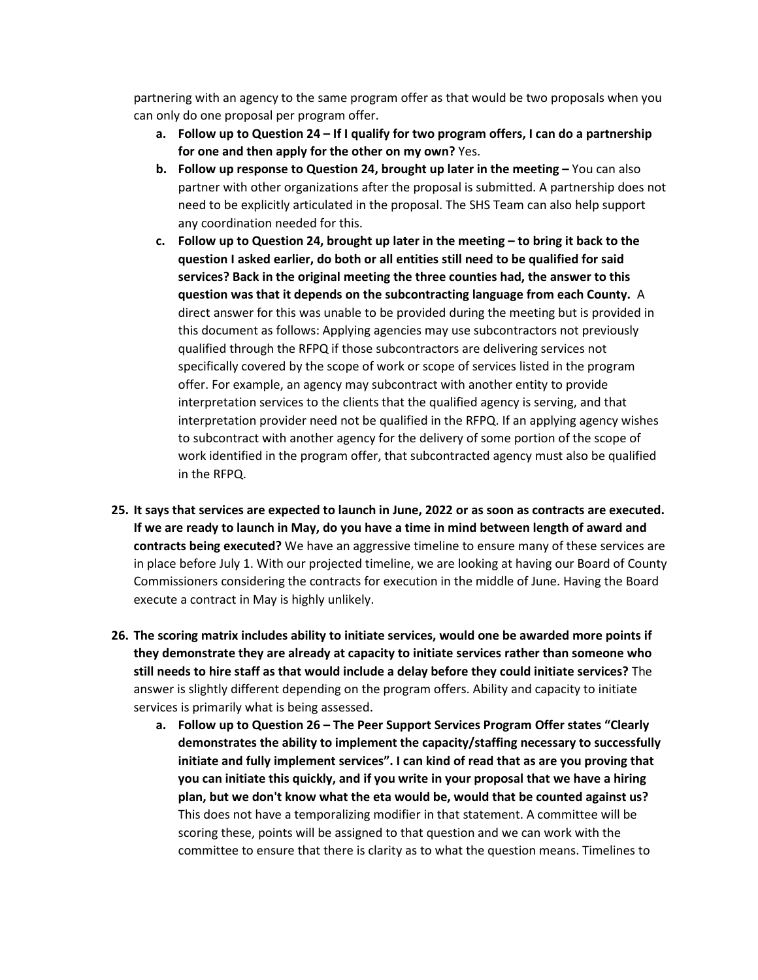partnering with an agency to the same program offer as that would be two proposals when you can only do one proposal per program offer.

- **a. Follow up to Question 24 – If I qualify for two program offers, I can do a partnership for one and then apply for the other on my own?** Yes.
- **b. Follow up response to Question 24, brought up later in the meeting –** You can also partner with other organizations after the proposal is submitted. A partnership does not need to be explicitly articulated in the proposal. The SHS Team can also help support any coordination needed for this.
- **c. Follow up to Question 24, brought up later in the meeting – to bring it back to the question I asked earlier, do both or all entities still need to be qualified for said services? Back in the original meeting the three counties had, the answer to this question was that it depends on the subcontracting language from each County.** A direct answer for this was unable to be provided during the meeting but is provided in this document as follows: Applying agencies may use subcontractors not previously qualified through the RFPQ if those subcontractors are delivering services not specifically covered by the scope of work or scope of services listed in the program offer. For example, an agency may subcontract with another entity to provide interpretation services to the clients that the qualified agency is serving, and that interpretation provider need not be qualified in the RFPQ. If an applying agency wishes to subcontract with another agency for the delivery of some portion of the scope of work identified in the program offer, that subcontracted agency must also be qualified in the RFPQ.
- **25. It says that services are expected to launch in June, 2022 or as soon as contracts are executed. If we are ready to launch in May, do you have a time in mind between length of award and contracts being executed?** We have an aggressive timeline to ensure many of these services are in place before July 1. With our projected timeline, we are looking at having our Board of County Commissioners considering the contracts for execution in the middle of June. Having the Board execute a contract in May is highly unlikely.
- **26. The scoring matrix includes ability to initiate services, would one be awarded more points if they demonstrate they are already at capacity to initiate services rather than someone who still needs to hire staff as that would include a delay before they could initiate services?** The answer is slightly different depending on the program offers. Ability and capacity to initiate services is primarily what is being assessed.
	- **a. Follow up to Question 26 – The Peer Support Services Program Offer states "Clearly demonstrates the ability to implement the capacity/staffing necessary to successfully initiate and fully implement services". I can kind of read that as are you proving that you can initiate this quickly, and if you write in your proposal that we have a hiring plan, but we don't know what the eta would be, would that be counted against us?** This does not have a temporalizing modifier in that statement. A committee will be scoring these, points will be assigned to that question and we can work with the committee to ensure that there is clarity as to what the question means. Timelines to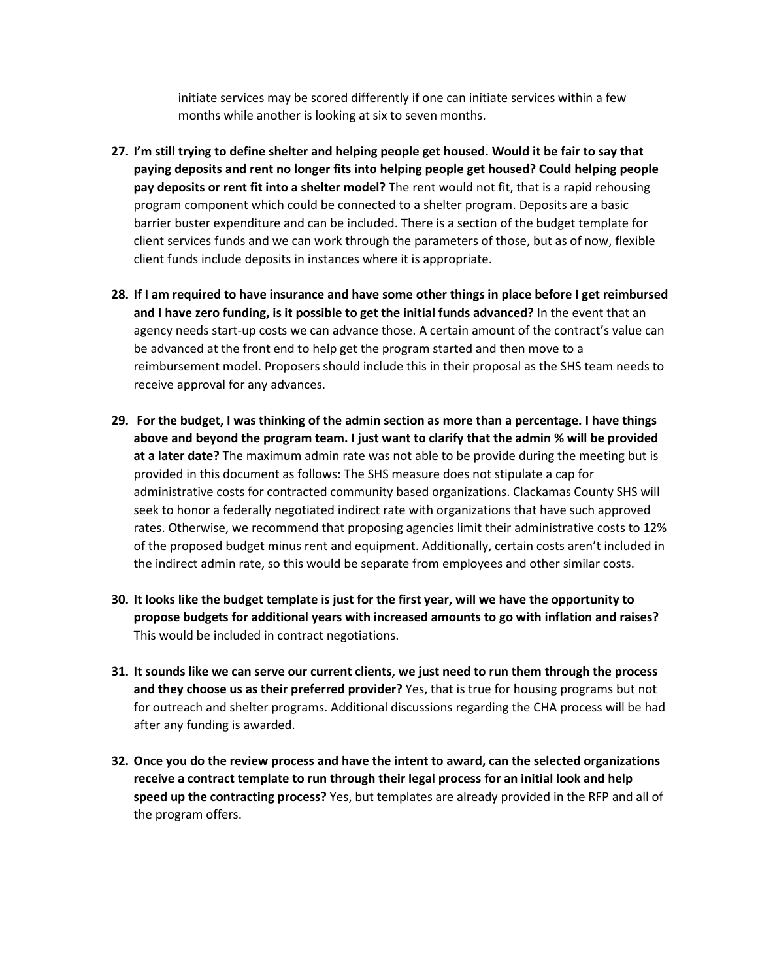initiate services may be scored differently if one can initiate services within a few months while another is looking at six to seven months.

- **27. I'm still trying to define shelter and helping people get housed. Would it be fair to say that paying deposits and rent no longer fits into helping people get housed? Could helping people pay deposits or rent fit into a shelter model?** The rent would not fit, that is a rapid rehousing program component which could be connected to a shelter program. Deposits are a basic barrier buster expenditure and can be included. There is a section of the budget template for client services funds and we can work through the parameters of those, but as of now, flexible client funds include deposits in instances where it is appropriate.
- **28. If I am required to have insurance and have some other things in place before I get reimbursed and I have zero funding, is it possible to get the initial funds advanced?** In the event that an agency needs start-up costs we can advance those. A certain amount of the contract's value can be advanced at the front end to help get the program started and then move to a reimbursement model. Proposers should include this in their proposal as the SHS team needs to receive approval for any advances.
- **29. For the budget, I was thinking of the admin section as more than a percentage. I have things above and beyond the program team. I just want to clarify that the admin % will be provided at a later date?** The maximum admin rate was not able to be provide during the meeting but is provided in this document as follows: The SHS measure does not stipulate a cap for administrative costs for contracted community based organizations. Clackamas County SHS will seek to honor a federally negotiated indirect rate with organizations that have such approved rates. Otherwise, we recommend that proposing agencies limit their administrative costs to 12% of the proposed budget minus rent and equipment. Additionally, certain costs aren't included in the indirect admin rate, so this would be separate from employees and other similar costs.
- **30. It looks like the budget template is just for the first year, will we have the opportunity to propose budgets for additional years with increased amounts to go with inflation and raises?** This would be included in contract negotiations.
- **31. It sounds like we can serve our current clients, we just need to run them through the process and they choose us as their preferred provider?** Yes, that is true for housing programs but not for outreach and shelter programs. Additional discussions regarding the CHA process will be had after any funding is awarded.
- **32. Once you do the review process and have the intent to award, can the selected organizations receive a contract template to run through their legal process for an initial look and help speed up the contracting process?** Yes, but templates are already provided in the RFP and all of the program offers.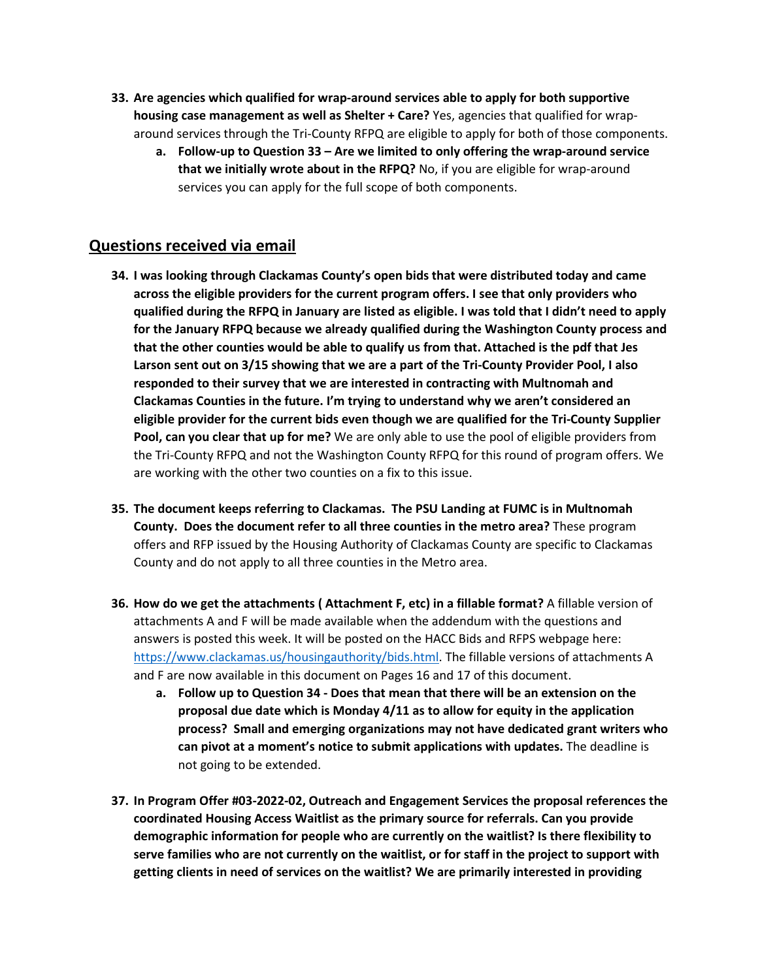- **33. Are agencies which qualified for wrap-around services able to apply for both supportive housing case management as well as Shelter + Care?** Yes, agencies that qualified for wraparound services through the Tri-County RFPQ are eligible to apply for both of those components.
	- **a. Follow-up to Question 33 Are we limited to only offering the wrap-around service that we initially wrote about in the RFPQ?** No, if you are eligible for wrap-around services you can apply for the full scope of both components.

# **Questions received via email**

- **34. I was looking through Clackamas County's open bids that were distributed today and came across the eligible providers for the current program offers. I see that only providers who qualified during the RFPQ in January are listed as eligible. I was told that I didn't need to apply for the January RFPQ because we already qualified during the Washington County process and that the other counties would be able to qualify us from that. Attached is the pdf that Jes Larson sent out on 3/15 showing that we are a part of the Tri-County Provider Pool, I also responded to their survey that we are interested in contracting with Multnomah and Clackamas Counties in the future. I'm trying to understand why we aren't considered an eligible provider for the current bids even though we are qualified for the Tri-County Supplier Pool, can you clear that up for me?** We are only able to use the pool of eligible providers from the Tri-County RFPQ and not the Washington County RFPQ for this round of program offers. We are working with the other two counties on a fix to this issue.
- **35. The document keeps referring to Clackamas. The PSU Landing at FUMC is in Multnomah County. Does the document refer to all three counties in the metro area?** These program offers and RFP issued by the Housing Authority of Clackamas County are specific to Clackamas County and do not apply to all three counties in the Metro area.
- **36. How do we get the attachments ( Attachment F, etc) in a fillable format?** A fillable version of attachments A and F will be made available when the addendum with the questions and answers is posted this week. It will be posted on the HACC Bids and RFPS webpage here: [https://www.clackamas.us/housingauthority/bids.html.](https://www.clackamas.us/housingauthority/bids.html) The fillable versions of attachments A and F are now available in this document on Pages 16 and 17 of this document.
	- **a. Follow up to Question 34 Does that mean that there will be an extension on the proposal due date which is Monday 4/11 as to allow for equity in the application process? Small and emerging organizations may not have dedicated grant writers who can pivot at a moment's notice to submit applications with updates.** The deadline is not going to be extended.
- **37. In Program Offer #03-2022-02, Outreach and Engagement Services the proposal references the coordinated Housing Access Waitlist as the primary source for referrals. Can you provide demographic information for people who are currently on the waitlist? Is there flexibility to serve families who are not currently on the waitlist, or for staff in the project to support with getting clients in need of services on the waitlist? We are primarily interested in providing**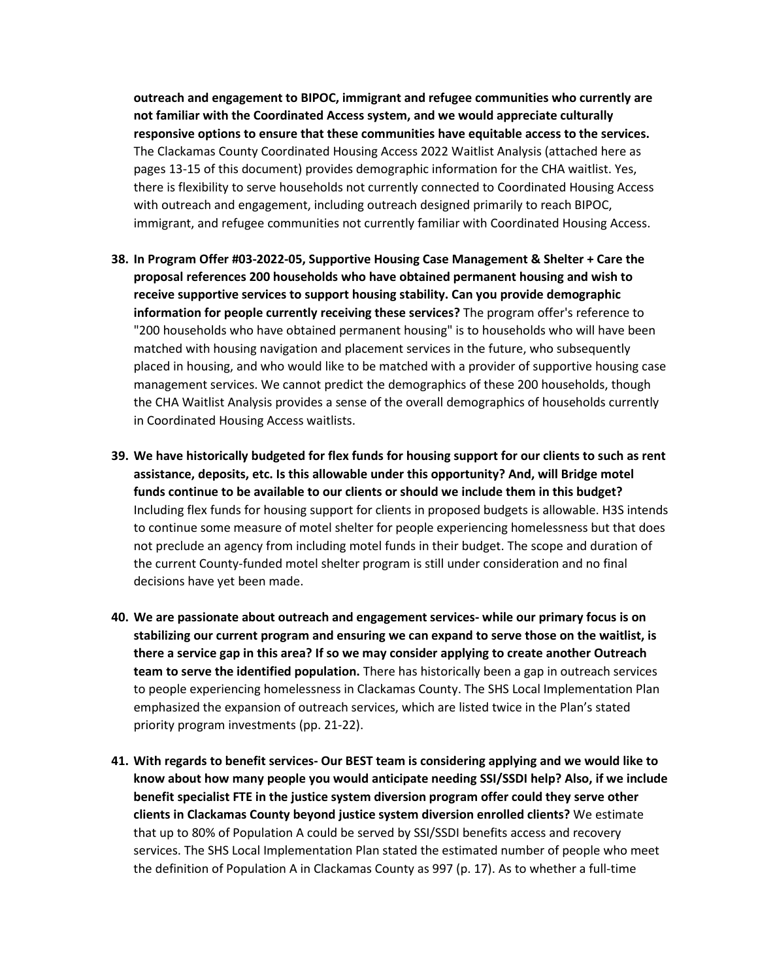**outreach and engagement to BIPOC, immigrant and refugee communities who currently are not familiar with the Coordinated Access system, and we would appreciate culturally responsive options to ensure that these communities have equitable access to the services.** The Clackamas County Coordinated Housing Access 2022 Waitlist Analysis (attached here as pages 13-15 of this document) provides demographic information for the CHA waitlist. Yes, there is flexibility to serve households not currently connected to Coordinated Housing Access with outreach and engagement, including outreach designed primarily to reach BIPOC, immigrant, and refugee communities not currently familiar with Coordinated Housing Access.

- **38. In Program Offer #03-2022-05, Supportive Housing Case Management & Shelter + Care the proposal references 200 households who have obtained permanent housing and wish to receive supportive services to support housing stability. Can you provide demographic information for people currently receiving these services?** The program offer's reference to "200 households who have obtained permanent housing" is to households who will have been matched with housing navigation and placement services in the future, who subsequently placed in housing, and who would like to be matched with a provider of supportive housing case management services. We cannot predict the demographics of these 200 households, though the CHA Waitlist Analysis provides a sense of the overall demographics of households currently in Coordinated Housing Access waitlists.
- **39. We have historically budgeted for flex funds for housing support for our clients to such as rent assistance, deposits, etc. Is this allowable under this opportunity? And, will Bridge motel funds continue to be available to our clients or should we include them in this budget?** Including flex funds for housing support for clients in proposed budgets is allowable. H3S intends to continue some measure of motel shelter for people experiencing homelessness but that does not preclude an agency from including motel funds in their budget. The scope and duration of the current County-funded motel shelter program is still under consideration and no final decisions have yet been made.
- **40. We are passionate about outreach and engagement services- while our primary focus is on stabilizing our current program and ensuring we can expand to serve those on the waitlist, is there a service gap in this area? If so we may consider applying to create another Outreach team to serve the identified population.** There has historically been a gap in outreach services to people experiencing homelessness in Clackamas County. The SHS Local Implementation Plan emphasized the expansion of outreach services, which are listed twice in the Plan's stated priority program investments (pp. 21-22).
- **41. With regards to benefit services- Our BEST team is considering applying and we would like to know about how many people you would anticipate needing SSI/SSDI help? Also, if we include benefit specialist FTE in the justice system diversion program offer could they serve other clients in Clackamas County beyond justice system diversion enrolled clients?** We estimate that up to 80% of Population A could be served by SSI/SSDI benefits access and recovery services. The SHS Local Implementation Plan stated the estimated number of people who meet the definition of Population A in Clackamas County as 997 (p. 17). As to whether a full-time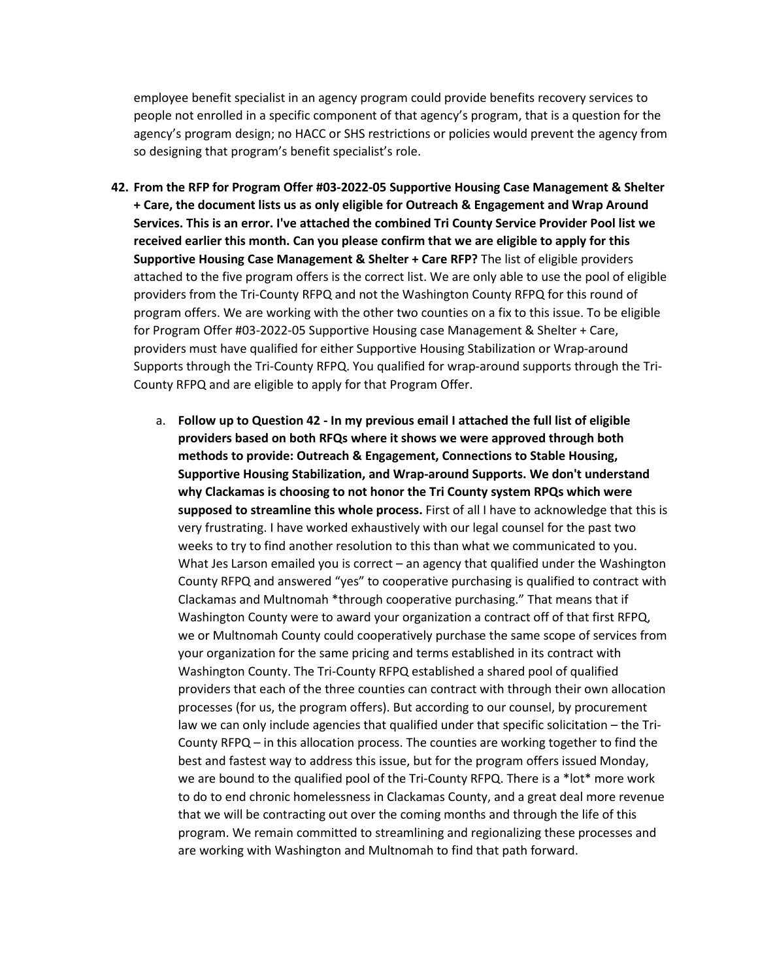employee benefit specialist in an agency program could provide benefits recovery services to people not enrolled in a specific component of that agency's program, that is a question for the agency's program design; no HACC or SHS restrictions or policies would prevent the agency from so designing that program's benefit specialist's role.

- **42. From the RFP for Program Offer #03-2022-05 Supportive Housing Case Management & Shelter + Care, the document lists us as only eligible for Outreach & Engagement and Wrap Around Services. This is an error. I've attached the combined Tri County Service Provider Pool list we received earlier this month. Can you please confirm that we are eligible to apply for this Supportive Housing Case Management & Shelter + Care RFP?** The list of eligible providers attached to the five program offers is the correct list. We are only able to use the pool of eligible providers from the Tri-County RFPQ and not the Washington County RFPQ for this round of program offers. We are working with the other two counties on a fix to this issue. To be eligible for Program Offer #03-2022-05 Supportive Housing case Management & Shelter + Care, providers must have qualified for either Supportive Housing Stabilization or Wrap-around Supports through the Tri-County RFPQ. You qualified for wrap-around supports through the Tri-County RFPQ and are eligible to apply for that Program Offer.
	- a. **Follow up to Question 42 - In my previous email I attached the full list of eligible providers based on both RFQs where it shows we were approved through both methods to provide: Outreach & Engagement, Connections to Stable Housing, Supportive Housing Stabilization, and Wrap-around Supports. We don't understand why Clackamas is choosing to not honor the Tri County system RPQs which were supposed to streamline this whole process.** First of all I have to acknowledge that this is very frustrating. I have worked exhaustively with our legal counsel for the past two weeks to try to find another resolution to this than what we communicated to you. What Jes Larson emailed you is correct – an agency that qualified under the Washington County RFPQ and answered "yes" to cooperative purchasing is qualified to contract with Clackamas and Multnomah \*through cooperative purchasing." That means that if Washington County were to award your organization a contract off of that first RFPQ, we or Multnomah County could cooperatively purchase the same scope of services from your organization for the same pricing and terms established in its contract with Washington County. The Tri-County RFPQ established a shared pool of qualified providers that each of the three counties can contract with through their own allocation processes (for us, the program offers). But according to our counsel, by procurement law we can only include agencies that qualified under that specific solicitation – the Tri-County RFPQ – in this allocation process. The counties are working together to find the best and fastest way to address this issue, but for the program offers issued Monday, we are bound to the qualified pool of the Tri-County RFPQ. There is a \*lot\* more work to do to end chronic homelessness in Clackamas County, and a great deal more revenue that we will be contracting out over the coming months and through the life of this program. We remain committed to streamlining and regionalizing these processes and are working with Washington and Multnomah to find that path forward.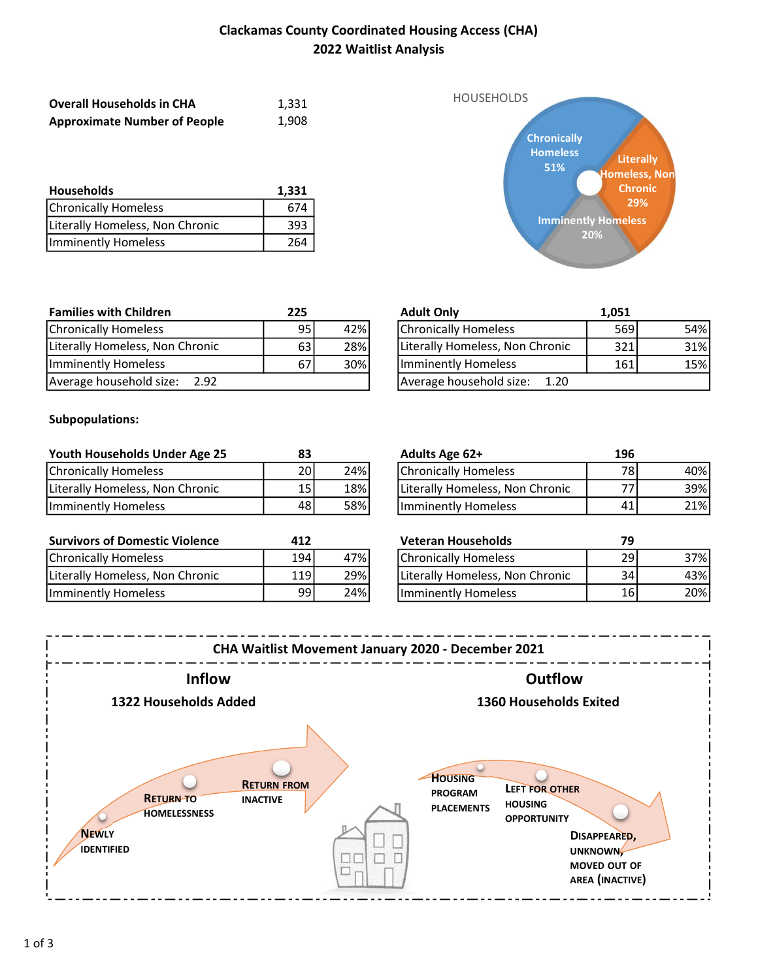# Clackamas County Coordinated Housing Access (CHA) 2022 Waitlist Analysis

| <b>Overall Households in CHA</b>    | 1.331 |
|-------------------------------------|-------|
| <b>Approximate Number of People</b> | 1,908 |

| <b>Households</b>               | 1,331 |
|---------------------------------|-------|
| <b>Chronically Homeless</b>     | 674   |
| Literally Homeless, Non Chronic | 393   |
| Imminently Homeless             | 264   |



| <b>Families with Children</b>   | 225  |     | <b>Adult Only</b>               | 1.051 |
|---------------------------------|------|-----|---------------------------------|-------|
| Chronically Homeless            | 95   | 42% | Chronically Homeless            | 569   |
| Literally Homeless, Non Chronic | 63 I | 28% | Literally Homeless, Non Chronic | 321   |
| Imminently Homeless             | 67   | 30% | Imminently Homeless             | 161   |
| Average household size: 2.92    |      |     | Average household size: 1.20    |       |

| !5 |     | <b>Adult Only</b>               | 1,051 |     |
|----|-----|---------------------------------|-------|-----|
| 95 | 42% | Chronically Homeless            | 569   | 54% |
| 63 | 28% | Literally Homeless, Non Chronic | 321   | 31% |
| 67 | 30% | Imminently Homeless             | 161   | 15% |
|    |     | Average household size:<br>1.20 |       |     |

#### Subpopulations:

| Youth Households Under Age 25   |      |     | <b>Adults Age 62+</b>           | 196  |     |
|---------------------------------|------|-----|---------------------------------|------|-----|
| Chronically Homeless            | 20   | 24% | Chronically Homeless            | 78 I | 40% |
| Literally Homeless, Non Chronic | 151  | 18% | Literally Homeless, Non Chronic | 77,  | 39% |
| Imminently Homeless             | 48 I | 58% | Imminently Homeless             | 41   | 21% |

| <b>Survivors of Domestic Violence</b> | 412   |     | Veteran Households              |      |     |
|---------------------------------------|-------|-----|---------------------------------|------|-----|
| Chronically Homeless                  | 194   | 47% | <b>Chronically Homeless</b>     | ا 29 | 37% |
| Literally Homeless, Non Chronic       | 119 l | 29% | Literally Homeless, Non Chronic | 34 I | 43% |
| IImminently Homeless                  | 99    | 24% | Ilmminently Homeless            | 16   | 20% |

| Adults Age 62+                  | 196 |     |
|---------------------------------|-----|-----|
| Chronically Homeless            | 78  | 40% |
| Literally Homeless, Non Chronic |     | 39% |
| Imminently Homeless             |     | 21% |

| <b>Veteran Households</b>       | 79  |     |
|---------------------------------|-----|-----|
| Chronically Homeless            | 29  |     |
| Literally Homeless, Non Chronic | 34. | 43% |
| Imminently Homeless             | 16  | 20% |

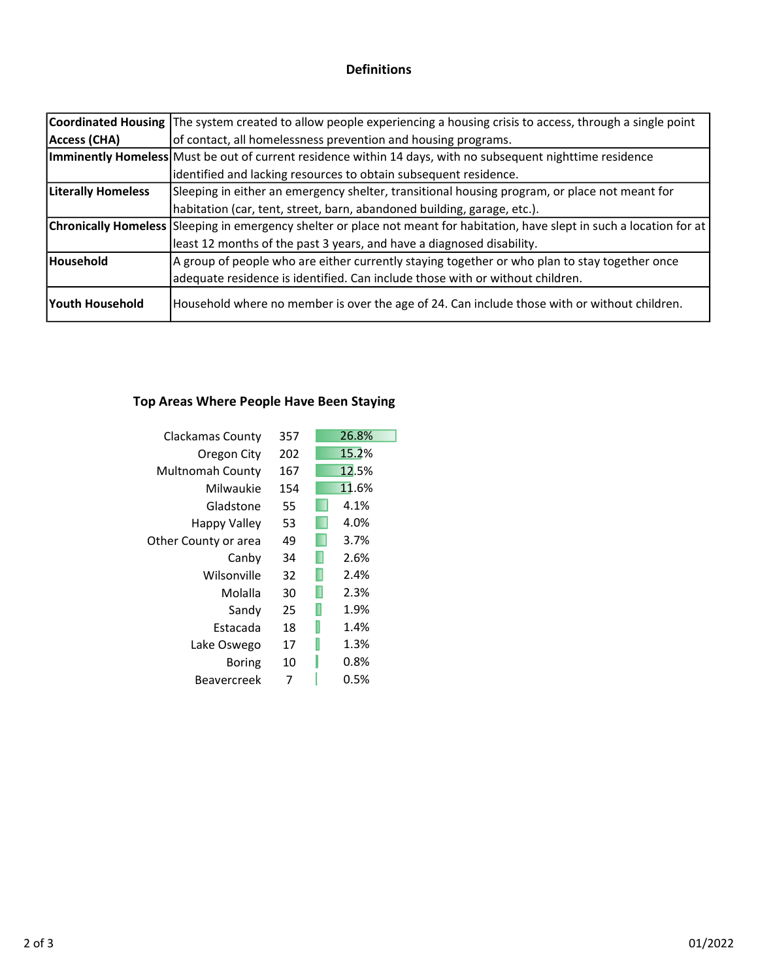## Definitions

|                           | Coordinated Housing The system created to allow people experiencing a housing crisis to access, through a single point            |
|---------------------------|-----------------------------------------------------------------------------------------------------------------------------------|
| Access (CHA)              | of contact, all homelessness prevention and housing programs.                                                                     |
|                           | Imminently Homeless Must be out of current residence within 14 days, with no subsequent nighttime residence                       |
|                           | identified and lacking resources to obtain subsequent residence.                                                                  |
| <b>Literally Homeless</b> | Sleeping in either an emergency shelter, transitional housing program, or place not meant for                                     |
|                           | habitation (car, tent, street, barn, abandoned building, garage, etc.).                                                           |
|                           | <b>Chronically Homeless</b> Sleeping in emergency shelter or place not meant for habitation, have slept in such a location for at |
|                           | least 12 months of the past 3 years, and have a diagnosed disability.                                                             |
| Household                 | A group of people who are either currently staying together or who plan to stay together once                                     |
|                           | adequate residence is identified. Can include those with or without children.                                                     |
| lYouth Household          | Household where no member is over the age of 24. Can include those with or without children.                                      |

# Top Areas Where People Have Been Staying

| Clackamas County     | 357 | 26.8%     |
|----------------------|-----|-----------|
| Oregon City          | 202 | 15.2%     |
| Multnomah County     | 167 | 12.5%     |
| Milwaukie            | 154 | 11.6%     |
| Gladstone            | 55  | 4.1%      |
| Happy Valley         | 53  | 4.0%      |
| Other County or area | 49  | 3.7%      |
| Canby                | 34  | 2.6%      |
| Wilsonville          | 32  | 2.4%      |
| Molalla              | 30  | 2.3%      |
| Sandy                | 25  | 1.9%      |
| Estacada             | 18  | 1.4%      |
| Lake Oswego          | 17  | ı<br>1.3% |
| Boring               | 10  | 0.8%      |
| Beavercreek          | 7   | 0.5%      |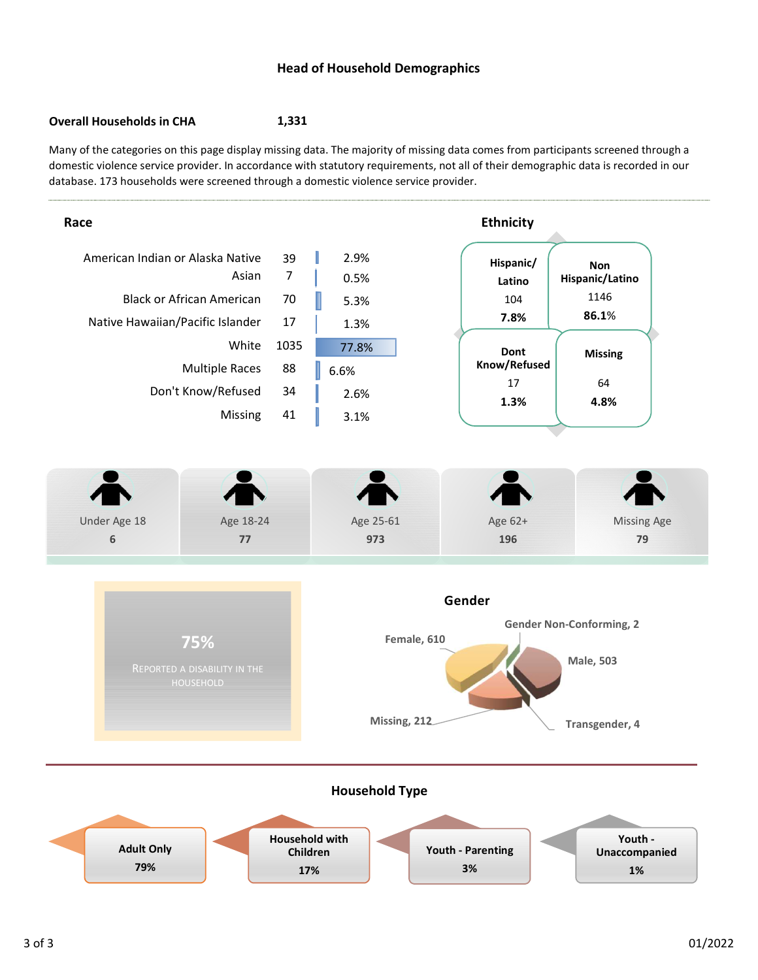#### Head of Household Demographics

#### Overall Households in CHA 1,331

Many of the categories on this page display missing data. The majority of missing data comes from participants screened through a domestic violence service provider. In accordance with statutory requirements, not all of their demographic data is recorded in our database. 173 households were screened through a domestic violence service provider.

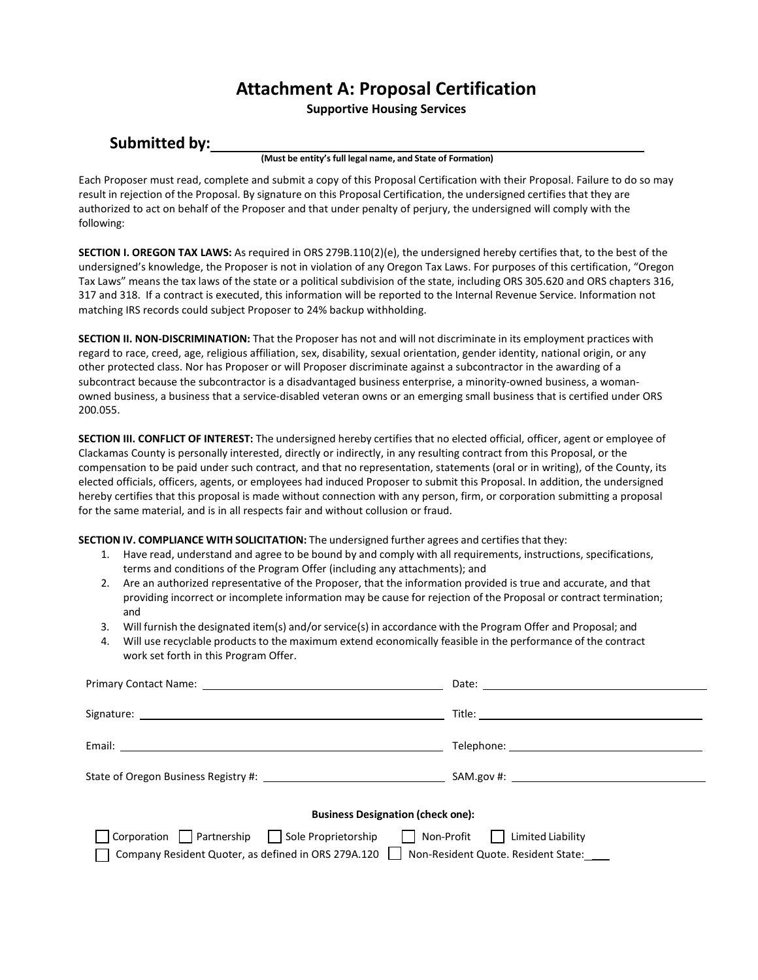# **Attachment A: Proposal Certification**

**Supportive Housing Services** 

# **Submitted by:**

**(Must be entity's full legal name, and State of Formation)**

Each Proposer must read, complete and submit a copy of this Proposal Certification with their Proposal. Failure to do so may result in rejection of the Proposal. By signature on this Proposal Certification, the undersigned certifies that they are authorized to act on behalf of the Proposer and that under penalty of perjury, the undersigned will comply with the following:

**SECTION I. OREGON TAX LAWS:** As required in ORS 279B.110(2)(e), the undersigned hereby certifies that, to the best of the undersigned's knowledge, the Proposer is not in violation of any Oregon Tax Laws. For purposes of this certification, "Oregon Tax Laws" means the tax laws of the state or a political subdivision of the state, including ORS 305.620 and ORS chapters 316, 317 and 318. If a contract is executed, this information will be reported to the Internal Revenue Service. Information not matching IRS records could subject Proposer to 24% backup withholding.

**SECTION II. NON-DISCRIMINATION:** That the Proposer has not and will not discriminate in its employment practices with regard to race, creed, age, religious affiliation, sex, disability, sexual orientation, gender identity, national origin, or any other protected class. Nor has Proposer or will Proposer discriminate against a subcontractor in the awarding of a subcontract because the subcontractor is a disadvantaged business enterprise, a minority-owned business, a womanowned business, a business that a service-disabled veteran owns or an emerging small business that is certified under ORS 200.055.

**SECTION III. CONFLICT OF INTEREST:** The undersigned hereby certifies that no elected official, officer, agent or employee of Clackamas County is personally interested, directly or indirectly, in any resulting contract from this Proposal, or the compensation to be paid under such contract, and that no representation, statements (oral or in writing), of the County, its elected officials, officers, agents, or employees had induced Proposer to submit this Proposal. In addition, the undersigned hereby certifies that this proposal is made without connection with any person, firm, or corporation submitting a proposal for the same material, and is in all respects fair and without collusion or fraud.

**SECTION IV. COMPLIANCE WITH SOLICITATION:** The undersigned further agrees and certifiesthat they:

- 1. Have read, understand and agree to be bound by and comply with all requirements, instructions, specifications, terms and conditions of the Program Offer (including any attachments); and
- 2. Are an authorized representative of the Proposer, that the information provided is true and accurate, and that providing incorrect or incomplete information may be cause for rejection of the Proposal or contract termination; and
- 3. Will furnish the designated item(s) and/orservice(s) in accordance with the Program Offer and Proposal; and
- 4. Will use recyclable products to the maximum extend economically feasible in the performance of the contract work set forth in this Program Offer.

| State of Oregon Business Registry #: \[\]                                                                                                     |                                  |
|-----------------------------------------------------------------------------------------------------------------------------------------------|----------------------------------|
| <b>Business Designation (check one):</b>                                                                                                      |                                  |
| Corporation Partnership Sole Proprietorship<br>Company Resident Quoter, as defined in ORS 279A.120   Non-Resident Quote. Resident State: ____ | Non-Profit     Limited Liability |